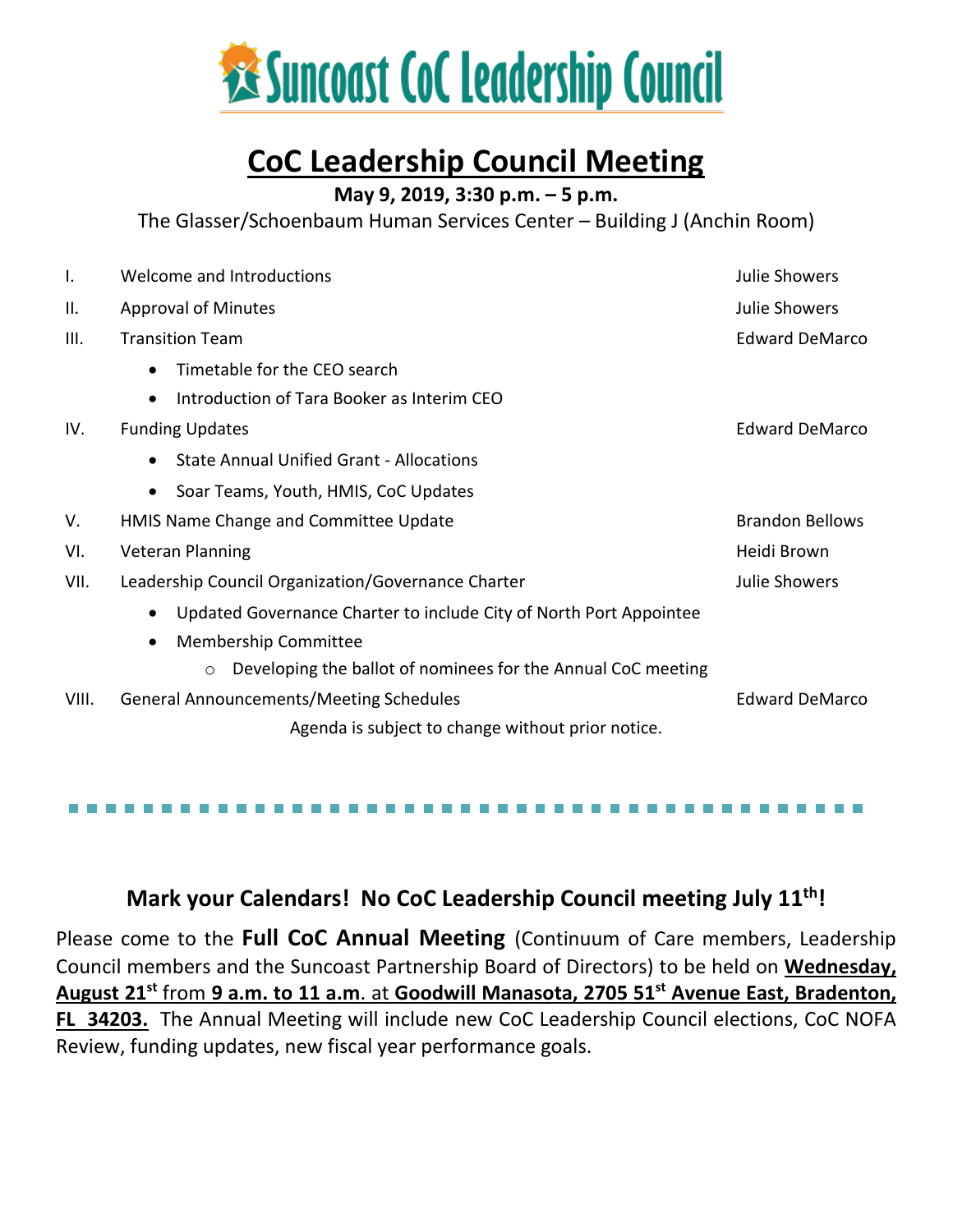

### **CoC Leadership Council Meeting**

**May 9, 2019, 3:30 p.m. – 5 p.m.**

The Glasser/Schoenbaum Human Services Center – Building J (Anchin Room)

| Ι.    | Welcome and Introductions                                                       | <b>Julie Showers</b>  |
|-------|---------------------------------------------------------------------------------|-----------------------|
| Ш.    | <b>Approval of Minutes</b>                                                      | Julie Showers         |
| III.  | <b>Transition Team</b>                                                          | <b>Edward DeMarco</b> |
|       | Timetable for the CEO search<br>$\bullet$                                       |                       |
|       | Introduction of Tara Booker as Interim CEO<br>$\bullet$                         |                       |
| IV.   | <b>Funding Updates</b>                                                          | <b>Edward DeMarco</b> |
|       | <b>State Annual Unified Grant - Allocations</b><br>٠                            |                       |
|       | Soar Teams, Youth, HMIS, CoC Updates<br>$\bullet$                               |                       |
| V.    | <b>Brandon Bellows</b><br>HMIS Name Change and Committee Update                 |                       |
| VI.   | <b>Veteran Planning</b><br>Heidi Brown                                          |                       |
| VII.  | Leadership Council Organization/Governance Charter<br>Julie Showers             |                       |
|       | Updated Governance Charter to include City of North Port Appointee<br>$\bullet$ |                       |
|       | <b>Membership Committee</b><br>$\bullet$                                        |                       |
|       | Developing the ballot of nominees for the Annual CoC meeting<br>$\circ$         |                       |
| VIII. | <b>General Announcements/Meeting Schedules</b>                                  | <b>Edward DeMarco</b> |
|       | Agenda is subject to change without prior notice.                               |                       |

### **Mark your Calendars! No CoC Leadership Council meeting July 11th!**

Please come to the **Full CoC Annual Meeting** (Continuum of Care members, Leadership Council members and the Suncoast Partnership Board of Directors) to be held on **Wednesday, August 21st** from **9 a.m. to 11 a.m**. at **Goodwill Manasota, 2705 51st Avenue East, Bradenton, FL 34203.** The Annual Meeting will include new CoC Leadership Council elections, CoC NOFA Review, funding updates, new fiscal year performance goals.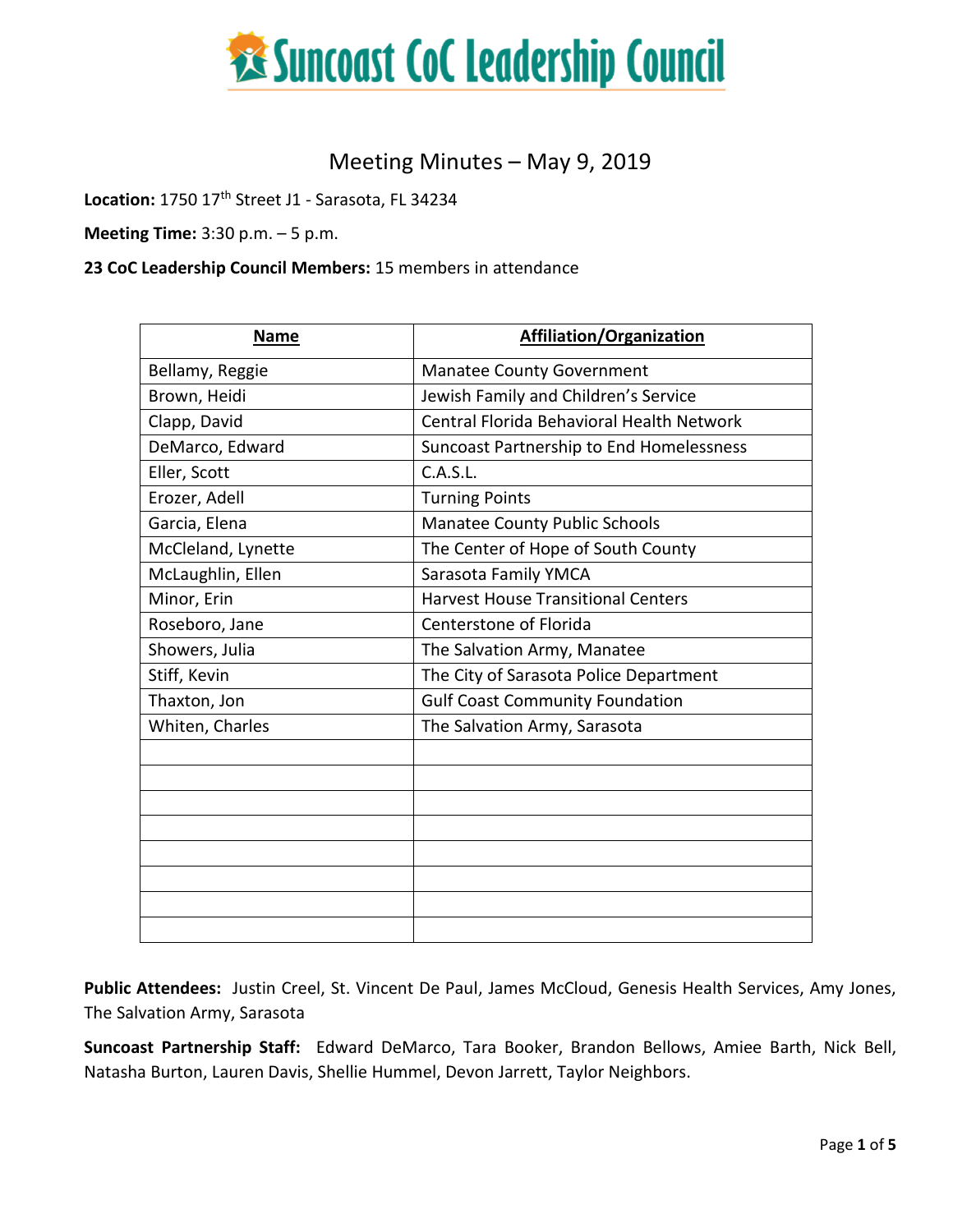

#### Meeting Minutes – May 9, 2019

**Location:** 1750 17th Street J1 - Sarasota, FL 34234

**Meeting Time:** 3:30 p.m. – 5 p.m.

#### **23 CoC Leadership Council Members:** 15 members in attendance

| <b>Name</b>        | Affiliation/Organization                  |
|--------------------|-------------------------------------------|
| Bellamy, Reggie    | <b>Manatee County Government</b>          |
| Brown, Heidi       | Jewish Family and Children's Service      |
| Clapp, David       | Central Florida Behavioral Health Network |
| DeMarco, Edward    | Suncoast Partnership to End Homelessness  |
| Eller, Scott       | C.A.S.L.                                  |
| Erozer, Adell      | <b>Turning Points</b>                     |
| Garcia, Elena      | <b>Manatee County Public Schools</b>      |
| McCleland, Lynette | The Center of Hope of South County        |
| McLaughlin, Ellen  | Sarasota Family YMCA                      |
| Minor, Erin        | <b>Harvest House Transitional Centers</b> |
| Roseboro, Jane     | Centerstone of Florida                    |
| Showers, Julia     | The Salvation Army, Manatee               |
| Stiff, Kevin       | The City of Sarasota Police Department    |
| Thaxton, Jon       | <b>Gulf Coast Community Foundation</b>    |
| Whiten, Charles    | The Salvation Army, Sarasota              |
|                    |                                           |
|                    |                                           |
|                    |                                           |
|                    |                                           |
|                    |                                           |
|                    |                                           |
|                    |                                           |
|                    |                                           |

**Public Attendees:** Justin Creel, St. Vincent De Paul, James McCloud, Genesis Health Services, Amy Jones, The Salvation Army, Sarasota

**Suncoast Partnership Staff:** Edward DeMarco, Tara Booker, Brandon Bellows, Amiee Barth, Nick Bell, Natasha Burton, Lauren Davis, Shellie Hummel, Devon Jarrett, Taylor Neighbors.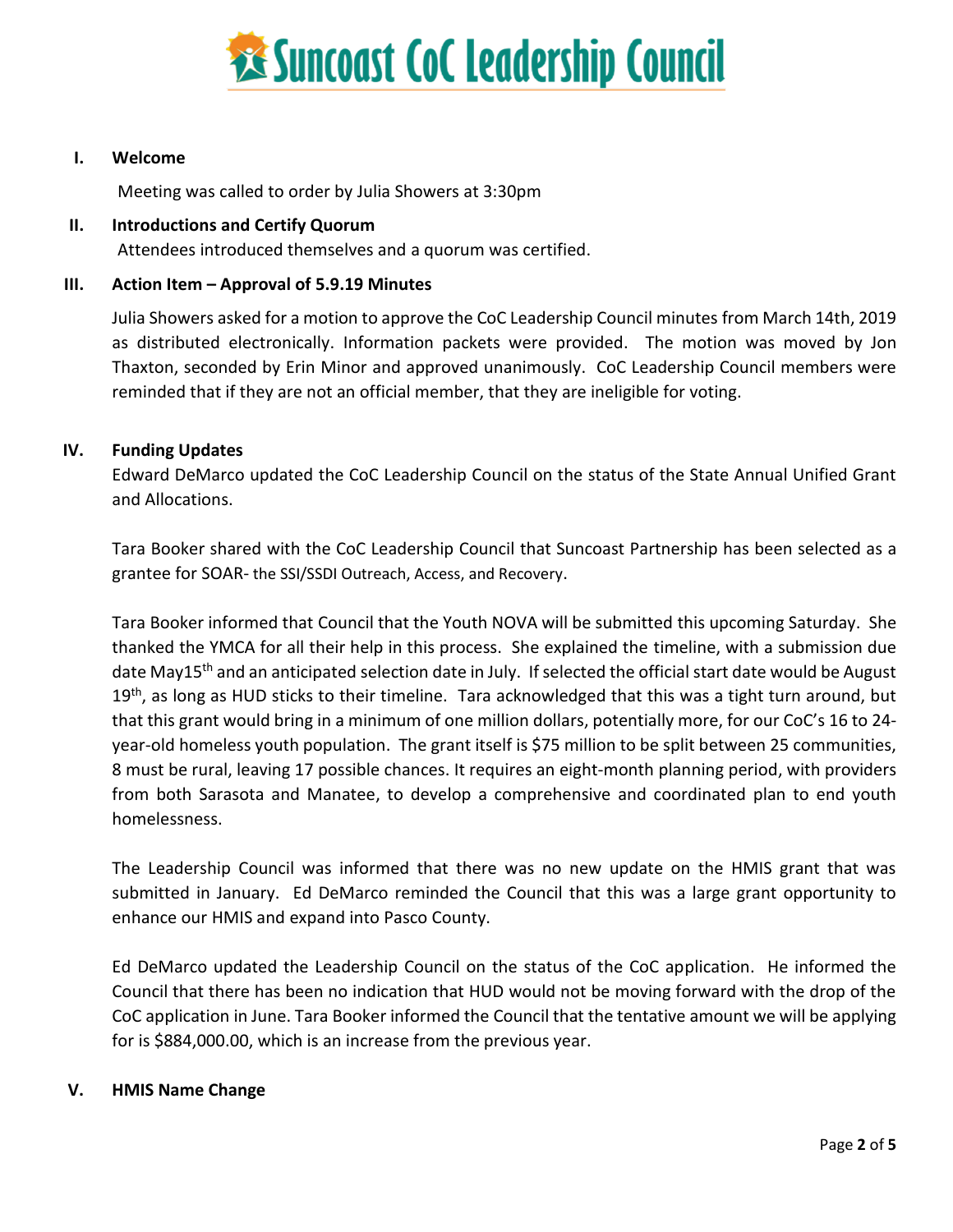

#### **I. Welcome**

Meeting was called to order by Julia Showers at 3:30pm

#### **II. Introductions and Certify Quorum**

Attendees introduced themselves and a quorum was certified.

#### **III. Action Item – Approval of 5.9.19 Minutes**

Julia Showers asked for a motion to approve the CoC Leadership Council minutes from March 14th, 2019 as distributed electronically. Information packets were provided. The motion was moved by Jon Thaxton, seconded by Erin Minor and approved unanimously. CoC Leadership Council members were reminded that if they are not an official member, that they are ineligible for voting.

#### **IV. Funding Updates**

Edward DeMarco updated the CoC Leadership Council on the status of the State Annual Unified Grant and Allocations.

Tara Booker shared with the CoC Leadership Council that Suncoast Partnership has been selected as a grantee for SOAR- the SSI/SSDI Outreach, Access, and Recovery.

Tara Booker informed that Council that the Youth NOVA will be submitted this upcoming Saturday. She thanked the YMCA for all their help in this process. She explained the timeline, with a submission due date May15<sup>th</sup> and an anticipated selection date in July. If selected the official start date would be August 19<sup>th</sup>, as long as HUD sticks to their timeline. Tara acknowledged that this was a tight turn around, but that this grant would bring in a minimum of one million dollars, potentially more, for our CoC's 16 to 24 year-old homeless youth population. The grant itself is \$75 million to be split between 25 communities, 8 must be rural, leaving 17 possible chances. It requires an eight-month planning period, with providers from both Sarasota and Manatee, to develop a comprehensive and coordinated plan to end youth homelessness.

The Leadership Council was informed that there was no new update on the HMIS grant that was submitted in January. Ed DeMarco reminded the Council that this was a large grant opportunity to enhance our HMIS and expand into Pasco County.

Ed DeMarco updated the Leadership Council on the status of the CoC application. He informed the Council that there has been no indication that HUD would not be moving forward with the drop of the CoC application in June. Tara Booker informed the Council that the tentative amount we will be applying for is \$884,000.00, which is an increase from the previous year.

#### **V. HMIS Name Change**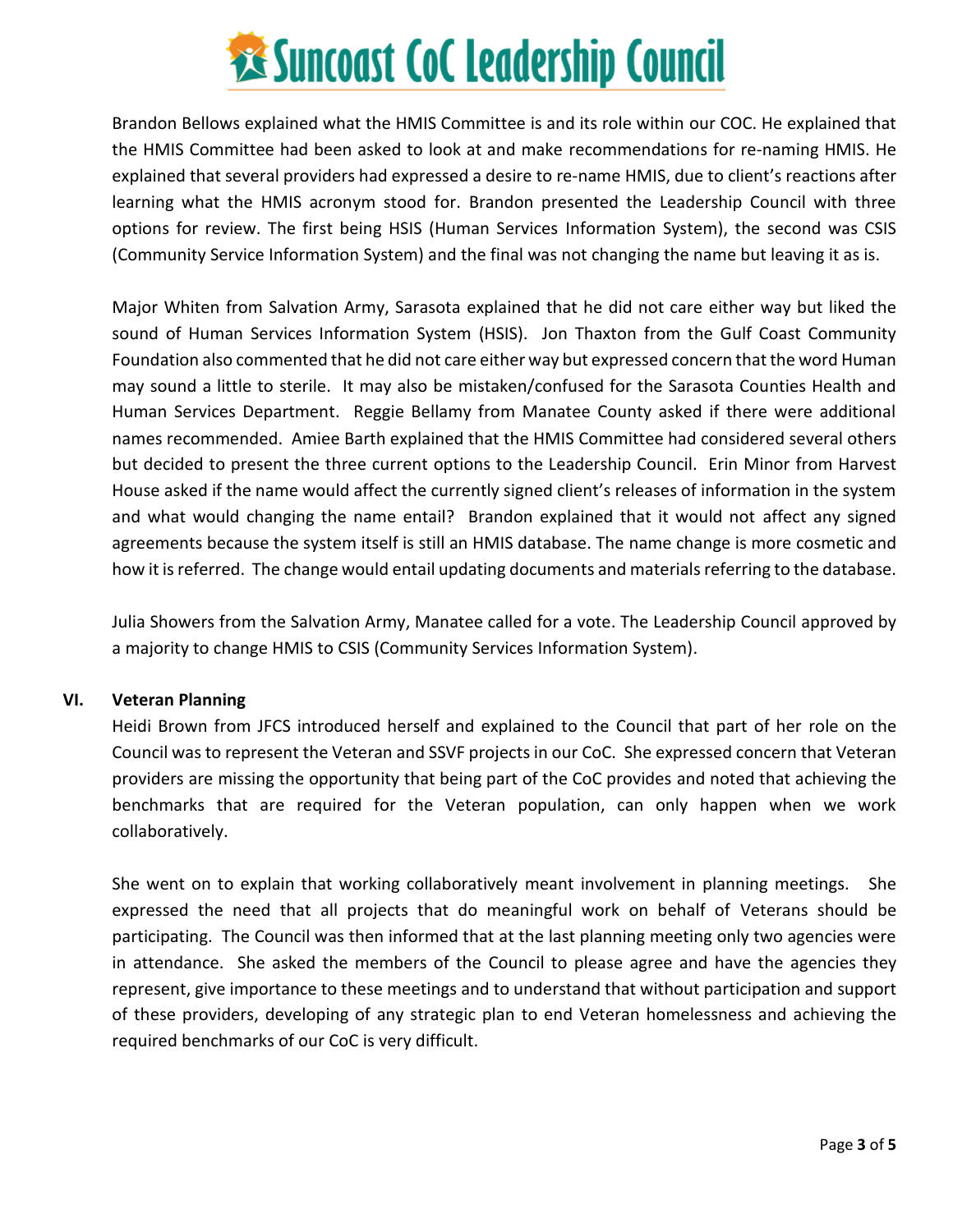## **Executions State Sunces Collections Connect Property**

Brandon Bellows explained what the HMIS Committee is and its role within our COC. He explained that the HMIS Committee had been asked to look at and make recommendations for re-naming HMIS. He explained that several providers had expressed a desire to re-name HMIS, due to client's reactions after learning what the HMIS acronym stood for. Brandon presented the Leadership Council with three options for review. The first being HSIS (Human Services Information System), the second was CSIS (Community Service Information System) and the final was not changing the name but leaving it as is.

Major Whiten from Salvation Army, Sarasota explained that he did not care either way but liked the sound of Human Services Information System (HSIS). Jon Thaxton from the Gulf Coast Community Foundation also commented that he did not care either way but expressed concern that the word Human may sound a little to sterile. It may also be mistaken/confused for the Sarasota Counties Health and Human Services Department. Reggie Bellamy from Manatee County asked if there were additional names recommended. Amiee Barth explained that the HMIS Committee had considered several others but decided to present the three current options to the Leadership Council. Erin Minor from Harvest House asked if the name would affect the currently signed client's releases of information in the system and what would changing the name entail? Brandon explained that it would not affect any signed agreements because the system itself is still an HMIS database. The name change is more cosmetic and how it is referred. The change would entail updating documents and materials referring to the database.

Julia Showers from the Salvation Army, Manatee called for a vote. The Leadership Council approved by a majority to change HMIS to CSIS (Community Services Information System).

#### **VI. Veteran Planning**

Heidi Brown from JFCS introduced herself and explained to the Council that part of her role on the Council was to represent the Veteran and SSVF projects in our CoC. She expressed concern that Veteran providers are missing the opportunity that being part of the CoC provides and noted that achieving the benchmarks that are required for the Veteran population, can only happen when we work collaboratively.

She went on to explain that working collaboratively meant involvement in planning meetings. She expressed the need that all projects that do meaningful work on behalf of Veterans should be participating. The Council was then informed that at the last planning meeting only two agencies were in attendance. She asked the members of the Council to please agree and have the agencies they represent, give importance to these meetings and to understand that without participation and support of these providers, developing of any strategic plan to end Veteran homelessness and achieving the required benchmarks of our CoC is very difficult.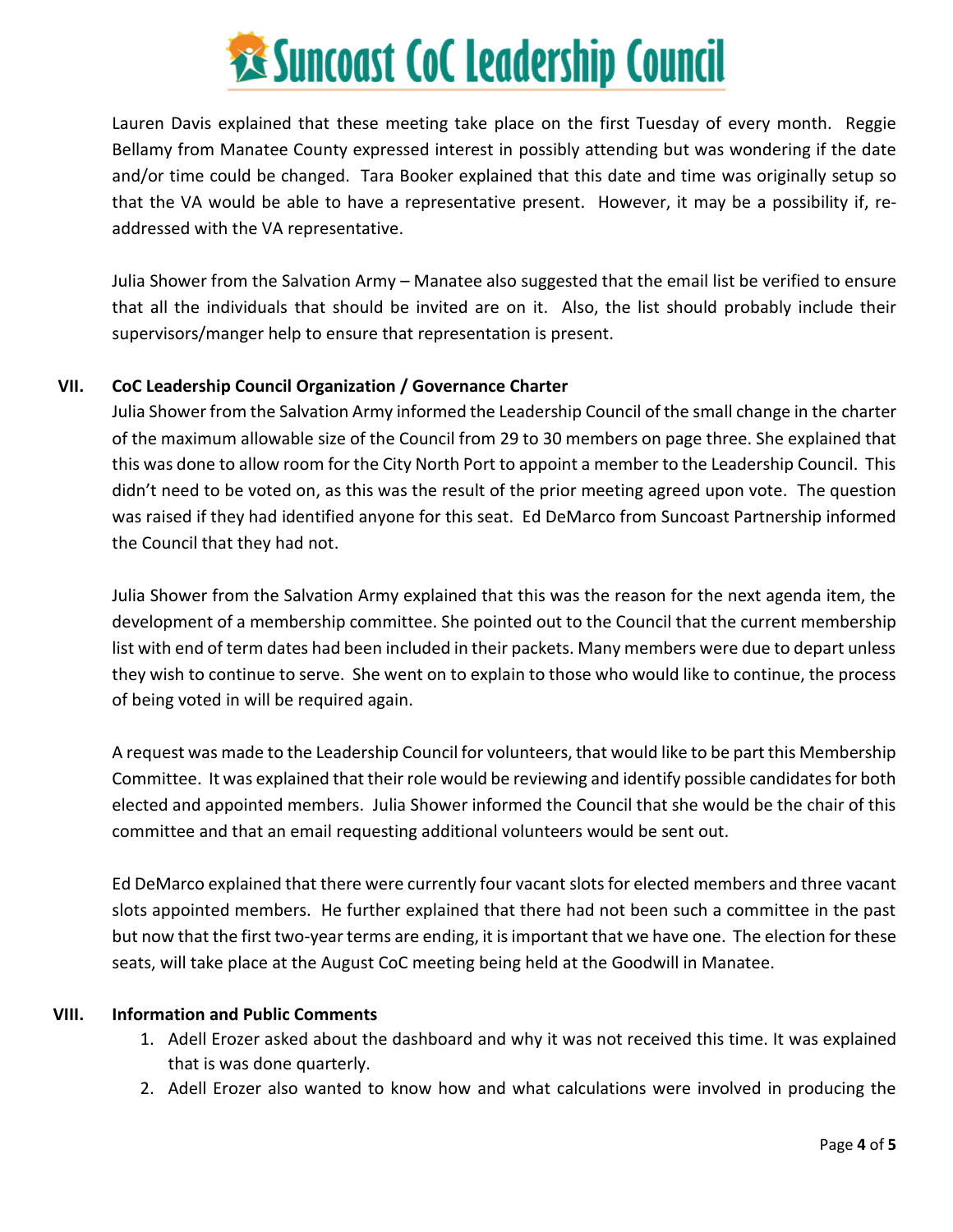## **Executions State Cock Leadership Council**

Lauren Davis explained that these meeting take place on the first Tuesday of every month. Reggie Bellamy from Manatee County expressed interest in possibly attending but was wondering if the date and/or time could be changed. Tara Booker explained that this date and time was originally setup so that the VA would be able to have a representative present. However, it may be a possibility if, readdressed with the VA representative.

Julia Shower from the Salvation Army – Manatee also suggested that the email list be verified to ensure that all the individuals that should be invited are on it. Also, the list should probably include their supervisors/manger help to ensure that representation is present.

#### **VII. CoC Leadership Council Organization / Governance Charter**

Julia Shower from the Salvation Army informed the Leadership Council of the small change in the charter of the maximum allowable size of the Council from 29 to 30 members on page three. She explained that this was done to allow room for the City North Port to appoint a member to the Leadership Council. This didn't need to be voted on, as this was the result of the prior meeting agreed upon vote. The question was raised if they had identified anyone for this seat. Ed DeMarco from Suncoast Partnership informed the Council that they had not.

Julia Shower from the Salvation Army explained that this was the reason for the next agenda item, the development of a membership committee. She pointed out to the Council that the current membership list with end of term dates had been included in their packets. Many members were due to depart unless they wish to continue to serve. She went on to explain to those who would like to continue, the process of being voted in will be required again.

A request was made to the Leadership Council for volunteers, that would like to be part this Membership Committee. It was explained that their role would be reviewing and identify possible candidates for both elected and appointed members. Julia Shower informed the Council that she would be the chair of this committee and that an email requesting additional volunteers would be sent out.

Ed DeMarco explained that there were currently four vacant slots for elected members and three vacant slots appointed members. He further explained that there had not been such a committee in the past but now that the first two-year terms are ending, it is important that we have one. The election for these seats, will take place at the August CoC meeting being held at the Goodwill in Manatee.

#### **VIII. Information and Public Comments**

- 1. Adell Erozer asked about the dashboard and why it was not received this time. It was explained that is was done quarterly.
- 2. Adell Erozer also wanted to know how and what calculations were involved in producing the